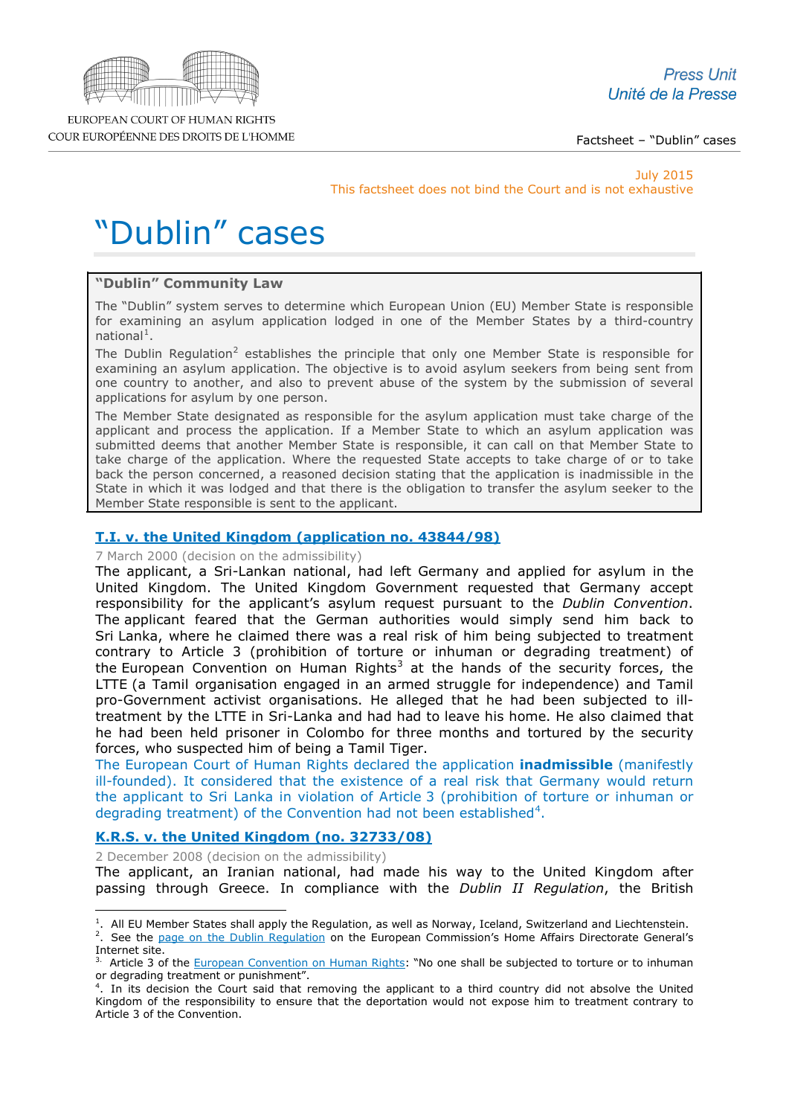

Factsheet – "Dublin" cases

July 2015 This factsheet does not bind the Court and is not exhaustive

# "Dublin" cases

# **"Dublin" Community Law**

The "Dublin" system serves to determine which European Union (EU) Member State is responsible for examining an asylum application lodged in one of the Member States by a third-country national<sup>[1](#page-0-0)</sup>.

The Dublin Regulation<sup>[2](#page-0-1)</sup> establishes the principle that only one Member State is responsible for examining an asylum application. The objective is to avoid asylum seekers from being sent from one country to another, and also to prevent abuse of the system by the submission of several applications for asylum by one person.

The Member State designated as responsible for the asylum application must take charge of the applicant and process the application. If a Member State to which an asylum application was submitted deems that another Member State is responsible, it can call on that Member State to take charge of the application. Where the requested State accepts to take charge of or to take back the person concerned, a reasoned decision stating that the application is inadmissible in the State in which it was lodged and that there is the obligation to transfer the asylum seeker to the Member State responsible is sent to the applicant.

# **[T.I. v. the United Kingdom \(application no. 43844/98\)](http://cmiskp.echr.coe.int/tkp197/view.asp?action=html&documentId=669265&portal=hbkm&source=externalbydocnumber&table=F69A27FD8FB86142BF01C1166DEA398649)**

7 March 2000 (decision on the admissibility)

The applicant, a Sri-Lankan national, had left Germany and applied for asylum in the United Kingdom. The United Kingdom Government requested that Germany accept responsibility for the applicant's asylum request pursuant to the *Dublin Convention*. The applicant feared that the German authorities would simply send him back to Sri Lanka, where he claimed there was a real risk of him being subjected to treatment contrary to Article 3 (prohibition of torture or inhuman or degrading treatment) of the European Convention on Human Rights<sup>[3](#page-0-2)</sup> at the hands of the security forces, the LTTE (a Tamil organisation engaged in an armed struggle for independence) and Tamil pro-Government activist organisations. He alleged that he had been subjected to illtreatment by the LTTE in Sri-Lanka and had had to leave his home. He also claimed that he had been held prisoner in Colombo for three months and tortured by the security forces, who suspected him of being a Tamil Tiger.

The European Court of Human Rights declared the application **inadmissible** (manifestly ill-founded). It considered that the existence of a real risk that Germany would return the applicant to Sri Lanka in violation of Article 3 (prohibition of torture or inhuman or degrading treatment) of the Convention had not been established<sup>[4](#page-0-3)</sup>.

# **K.R.S. [v. the United Kingdom \(no. 32733/08\)](http://hudoc.echr.coe.int/sites/eng/pages/search.aspx?i=001-90500)**

2 December 2008 (decision on the admissibility)

The applicant, an Iranian national, had made his way to the United Kingdom after passing through Greece. In compliance with the *Dublin II Regulation*, the British

<sup>1</sup> . All EU Member States shall apply the Regulation, as well as Norway, Iceland, Switzerland and Liechtenstein. -

<span id="page-0-1"></span><span id="page-0-0"></span><sup>&</sup>lt;sup>2</sup>. See the [page on the Dublin Regulation](http://ec.europa.eu/dgs/home-affairs/what-we-do/policies/asylum/examination-of-applicants/index_en.htm) on the European Commission's Home Affairs Directorate General's Internet site.

<span id="page-0-2"></span><sup>&</sup>lt;sup>3.</sup> Article 3 of the [European Convention on Human Rights:](http://www.echr.coe.int/Documents/Convention_ENG.pdf) "No one shall be subjected to torture or to inhuman or degrading treatment or punishment".

<span id="page-0-3"></span><sup>4</sup> . In its decision the Court said that removing the applicant to a third country did not absolve the United Kingdom of the responsibility to ensure that the deportation would not expose him to treatment contrary to Article 3 of the Convention.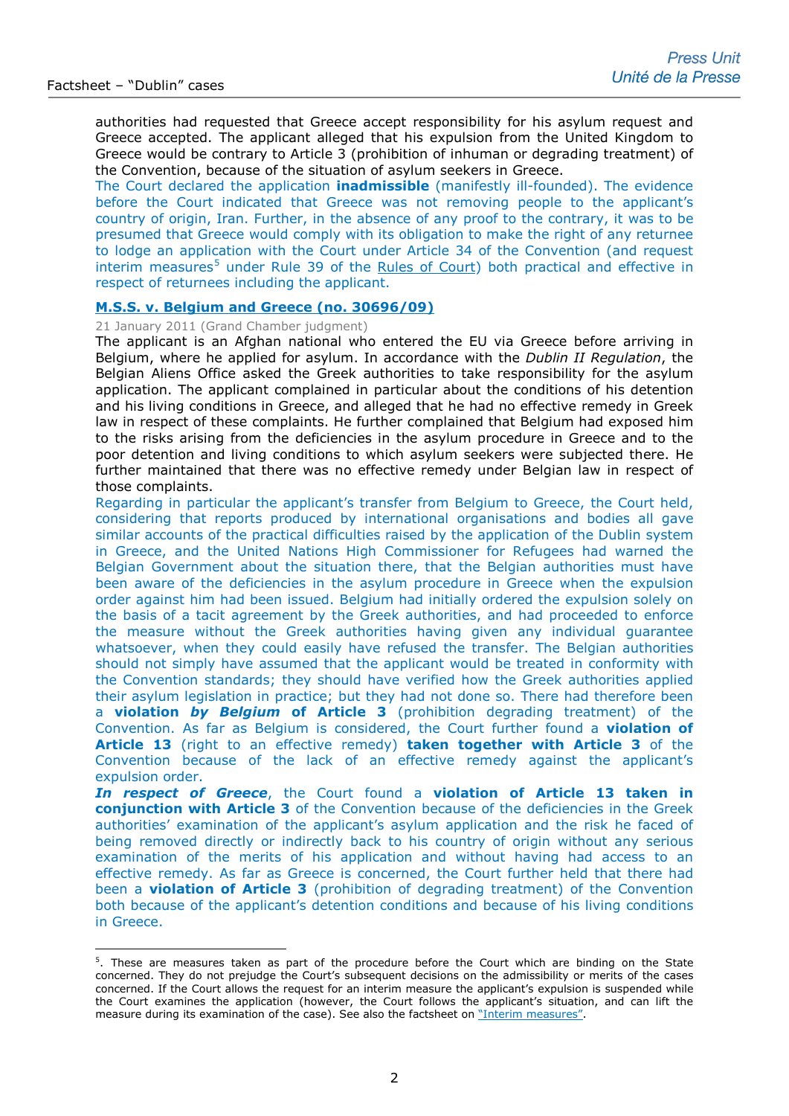-

authorities had requested that Greece accept responsibility for his asylum request and Greece accepted. The applicant alleged that his expulsion from the United Kingdom to Greece would be contrary to Article 3 (prohibition of inhuman or degrading treatment) of the Convention, because of the situation of asylum seekers in Greece.

The Court declared the application **inadmissible** (manifestly ill-founded). The evidence before the Court indicated that Greece was not removing people to the applicant's country of origin, Iran. Further, in the absence of any proof to the contrary, it was to be presumed that Greece would comply with its obligation to make the right of any returnee to lodge an application with the Court under Article 34 of the Convention (and request  $interim$  measures<sup>[5](#page-1-0)</sup> under Rule 39 of the [Rules of Court\)](http://www.echr.coe.int/Documents/Rules_Court_ENG.pdf) both practical and effective in respect of returnees including the applicant.

## **[M.S.S. v. Belgium and Greece \(no. 30696/09\)](http://hudoc.echr.coe.int/sites/eng-press/pages/search.aspx?i=003-3407679-3824378)**

## 21 January 2011 (Grand Chamber judgment)

The applicant is an Afghan national who entered the EU via Greece before arriving in Belgium, where he applied for asylum. In accordance with the *Dublin II Regulation*, the Belgian Aliens Office asked the Greek authorities to take responsibility for the asylum application. The applicant complained in particular about the conditions of his detention and his living conditions in Greece, and alleged that he had no effective remedy in Greek law in respect of these complaints. He further complained that Belgium had exposed him to the risks arising from the deficiencies in the asylum procedure in Greece and to the poor detention and living conditions to which asylum seekers were subjected there. He further maintained that there was no effective remedy under Belgian law in respect of those complaints.

Regarding in particular the applicant's transfer from Belgium to Greece, the Court held, considering that reports produced by international organisations and bodies all gave similar accounts of the practical difficulties raised by the application of the Dublin system in Greece, and the United Nations High Commissioner for Refugees had warned the Belgian Government about the situation there, that the Belgian authorities must have been aware of the deficiencies in the asylum procedure in Greece when the expulsion order against him had been issued. Belgium had initially ordered the expulsion solely on the basis of a tacit agreement by the Greek authorities, and had proceeded to enforce the measure without the Greek authorities having given any individual guarantee whatsoever, when they could easily have refused the transfer. The Belgian authorities should not simply have assumed that the applicant would be treated in conformity with the Convention standards; they should have verified how the Greek authorities applied their asylum legislation in practice; but they had not done so. There had therefore been a **violation** *by Belgium* **of Article 3** (prohibition degrading treatment) of the Convention. As far as Belgium is considered, the Court further found a **violation of Article 13** (right to an effective remedy) **taken together with Article 3** of the Convention because of the lack of an effective remedy against the applicant's expulsion order.

*In respect of Greece*, the Court found a **violation of Article 13 taken in conjunction with Article 3** of the Convention because of the deficiencies in the Greek authorities' examination of the applicant's asylum application and the risk he faced of being removed directly or indirectly back to his country of origin without any serious examination of the merits of his application and without having had access to an effective remedy. As far as Greece is concerned, the Court further held that there had been a **violation of Article 3** (prohibition of degrading treatment) of the Convention both because of the applicant's detention conditions and because of his living conditions in Greece.

<span id="page-1-0"></span><sup>&</sup>lt;sup>5</sup>. These are measures taken as part of the procedure before the Court which are binding on the State concerned. They do not prejudge the Court's subsequent decisions on the admissibility or merits of the cases concerned. If the Court allows the request for an interim measure the applicant's expulsion is suspended while the Court examines the application (however, the Court follows the applicant's situation, and can lift the measure during its examination of the case). See also the factsheet on ["Interim measures".](http://www.echr.coe.int/Documents/FS_Interim_measures_ENG.pdf)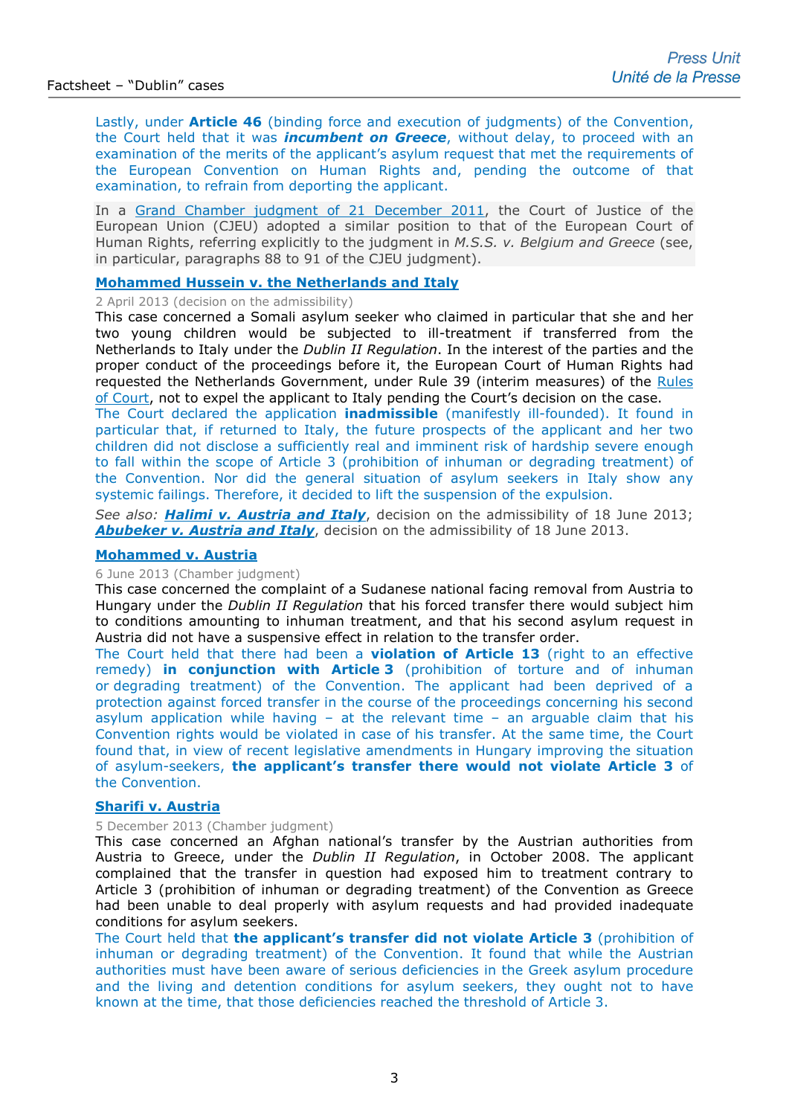Lastly, under **Article 46** (binding force and execution of judgments) of the Convention, the Court held that it was *incumbent on Greece*, without delay, to proceed with an examination of the merits of the applicant's asylum request that met the requirements of the European Convention on Human Rights and, pending the outcome of that examination, to refrain from deporting the applicant.

In a [Grand Chamber judgment of 21 December 2011,](http://curia.europa.eu/juris/document/document.jsf?text=&docid=117187&pageIndex=0&doclang=EN&mode=lst&dir=&occ=first&part=1&cid=31034) the Court of Justice of the European Union (CJEU) adopted a similar position to that of the European Court of Human Rights, referring explicitly to the judgment in *M.S.S. v. Belgium and Greece* (see, in particular, paragraphs 88 to 91 of the CJEU judgment).

## **[Mohammed Hussein v. the Netherlands and Italy](http://hudoc.echr.coe.int/sites/fra-press/pages/search.aspx?i=003-4332835-5193202)**

2 April 2013 (decision on the admissibility)

This case concerned a Somali asylum seeker who claimed in particular that she and her two young children would be subjected to ill-treatment if transferred from the Netherlands to Italy under the *Dublin II Regulation*. In the interest of the parties and the proper conduct of the proceedings before it, the European Court of Human Rights had requested the Netherlands Government, under Rule 39 (interim measures) of the [Rules](http://www.echr.coe.int/Documents/Rules_Court_ENG.pdf)  [of Court,](http://www.echr.coe.int/Documents/Rules_Court_ENG.pdf) not to expel the applicant to Italy pending the Court's decision on the case.

The Court declared the application **inadmissible** (manifestly ill-founded). It found in particular that, if returned to Italy, the future prospects of the applicant and her two children did not disclose a sufficiently real and imminent risk of hardship severe enough to fall within the scope of Article 3 (prohibition of inhuman or degrading treatment) of the Convention. Nor did the general situation of asylum seekers in Italy show any systemic failings. Therefore, it decided to lift the suspension of the expulsion.

*See also: [Halimi v. Austria and Italy](http://hudoc.echr.coe.int/sites/eng/pages/search.aspx?i=001-122454)*, decision on the admissibility of 18 June 2013; *[Abubeker v. Austria and Italy](http://hudoc.echr.coe.int/sites/eng/pages/search.aspx?i=001-122459)*, decision on the admissibility of 18 June 2013.

## **[Mohammed v. Austria](http://hudoc.echr.coe.int/sites/eng-press/pages/search.aspx?i=003-4388586-5268955)**

## 6 June 2013 (Chamber judgment)

This case concerned the complaint of a Sudanese national facing removal from Austria to Hungary under the *Dublin II Regulation* that his forced transfer there would subject him to conditions amounting to inhuman treatment, and that his second asylum request in Austria did not have a suspensive effect in relation to the transfer order.

The Court held that there had been a **violation of Article 13** (right to an effective remedy) **in conjunction with Article 3** (prohibition of torture and of inhuman or degrading treatment) of the Convention. The applicant had been deprived of a protection against forced transfer in the course of the proceedings concerning his second asylum application while having  $-$  at the relevant time  $-$  an arguable claim that his Convention rights would be violated in case of his transfer. At the same time, the Court found that, in view of recent legislative amendments in Hungary improving the situation of asylum-seekers, **the applicant's transfer there would not violate Article 3** of the Convention.

## **[Sharifi v. Austria](http://hudoc.echr.coe.int/sites/eng/pages/search.aspx?i=001-138593)**

## 5 December 2013 (Chamber judgment)

This case concerned an Afghan national's transfer by the Austrian authorities from Austria to Greece, under the *Dublin II Regulation*, in October 2008. The applicant complained that the transfer in question had exposed him to treatment contrary to Article 3 (prohibition of inhuman or degrading treatment) of the Convention as Greece had been unable to deal properly with asylum requests and had provided inadequate conditions for asylum seekers.

The Court held that **the applicant's transfer did not violate Article 3** (prohibition of inhuman or degrading treatment) of the Convention. It found that while the Austrian authorities must have been aware of serious deficiencies in the Greek asylum procedure and the living and detention conditions for asylum seekers, they ought not to have known at the time, that those deficiencies reached the threshold of Article 3.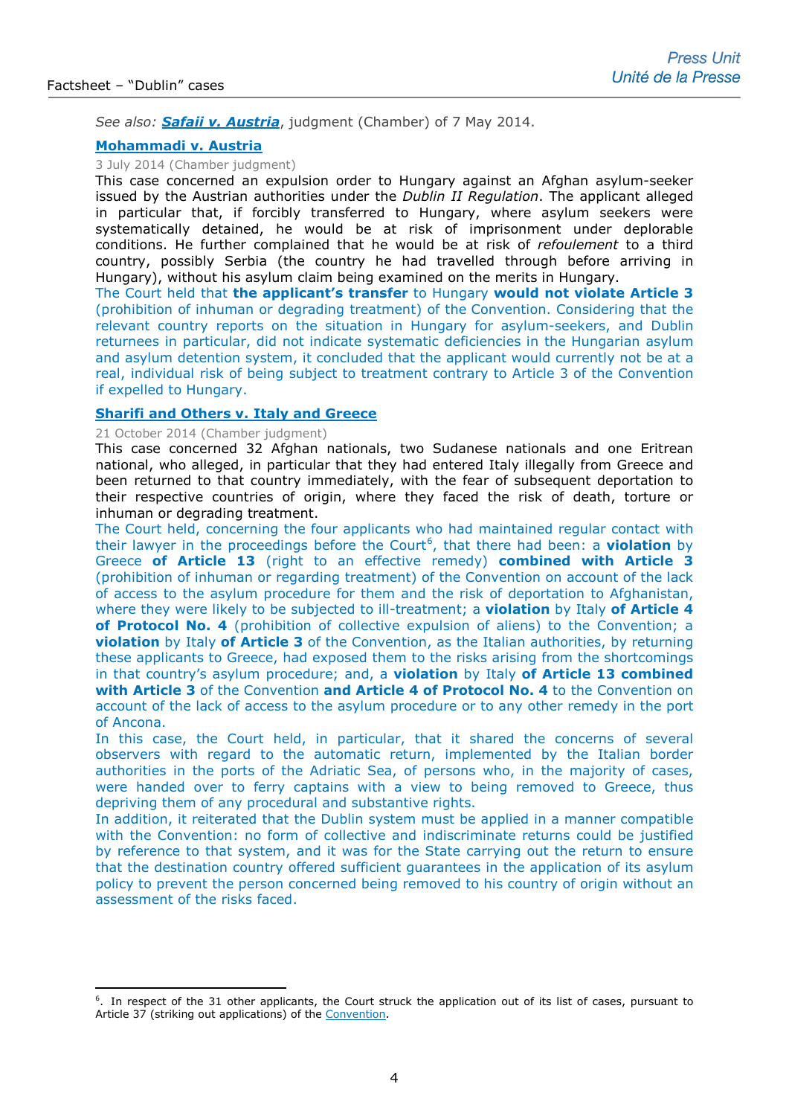-

*See also: [Safaii v. Austria](http://hudoc.echr.coe.int/sites/eng/pages/search.aspx?i=001-142842)*, judgment (Chamber) of 7 May 2014.

# **[Mohammadi v. Austria](http://hudoc.echr.coe.int/sites/eng/pages/search.aspx?i=001-145233)**

# 3 July 2014 (Chamber judgment)

This case concerned an expulsion order to Hungary against an Afghan asylum-seeker issued by the Austrian authorities under the *Dublin II Regulation*. The applicant alleged in particular that, if forcibly transferred to Hungary, where asylum seekers were systematically detained, he would be at risk of imprisonment under deplorable conditions. He further complained that he would be at risk of *refoulement* to a third country, possibly Serbia (the country he had travelled through before arriving in Hungary), without his asylum claim being examined on the merits in Hungary.

The Court held that **the applicant's transfer** to Hungary **would not violate Article 3** (prohibition of inhuman or degrading treatment) of the Convention. Considering that the relevant country reports on the situation in Hungary for asylum-seekers, and Dublin returnees in particular, did not indicate systematic deficiencies in the Hungarian asylum and asylum detention system, it concluded that the applicant would currently not be at a real, individual risk of being subject to treatment contrary to Article 3 of the Convention if expelled to Hungary.

# **[Sharifi and Others v. Italy and Greece](http://hudoc.echr.coe.int/sites/eng-press/pages/search.aspx?i=003-4910702-6007035)**

### 21 October 2014 (Chamber judgment)

This case concerned 32 Afghan nationals, two Sudanese nationals and one Eritrean national, who alleged, in particular that they had entered Italy illegally from Greece and been returned to that country immediately, with the fear of subsequent deportation to their respective countries of origin, where they faced the risk of death, torture or inhuman or degrading treatment.

The Court held, concerning the four applicants who had maintained regular contact with their lawyer in the proceedings before the Court<sup>[6](#page-3-0)</sup>, that there had been: a **violation** by Greece **of Article 13** (right to an effective remedy) **combined with Article 3**  (prohibition of inhuman or regarding treatment) of the Convention on account of the lack of access to the asylum procedure for them and the risk of deportation to Afghanistan, where they were likely to be subjected to ill-treatment; a **violation** by Italy **of Article 4 of Protocol No. 4** (prohibition of collective expulsion of aliens) to the Convention; a **violation** by Italy **of Article 3** of the Convention, as the Italian authorities, by returning these applicants to Greece, had exposed them to the risks arising from the shortcomings in that country's asylum procedure; and, a **violation** by Italy **of Article 13 combined with Article 3** of the Convention **and Article 4 of Protocol No. 4** to the Convention on account of the lack of access to the asylum procedure or to any other remedy in the port of Ancona.

In this case, the Court held, in particular, that it shared the concerns of several observers with regard to the automatic return, implemented by the Italian border authorities in the ports of the Adriatic Sea, of persons who, in the majority of cases, were handed over to ferry captains with a view to being removed to Greece, thus depriving them of any procedural and substantive rights.

In addition, it reiterated that the Dublin system must be applied in a manner compatible with the Convention: no form of collective and indiscriminate returns could be justified by reference to that system, and it was for the State carrying out the return to ensure that the destination country offered sufficient guarantees in the application of its asylum policy to prevent the person concerned being removed to his country of origin without an assessment of the risks faced.

<span id="page-3-0"></span><sup>6</sup> . In respect of the 31 other applicants, the Court struck the application out of its list of cases, pursuant to Article 37 (striking out applications) of the [Convention.](http://www.echr.coe.int/Documents/Convention_ENG.pdf)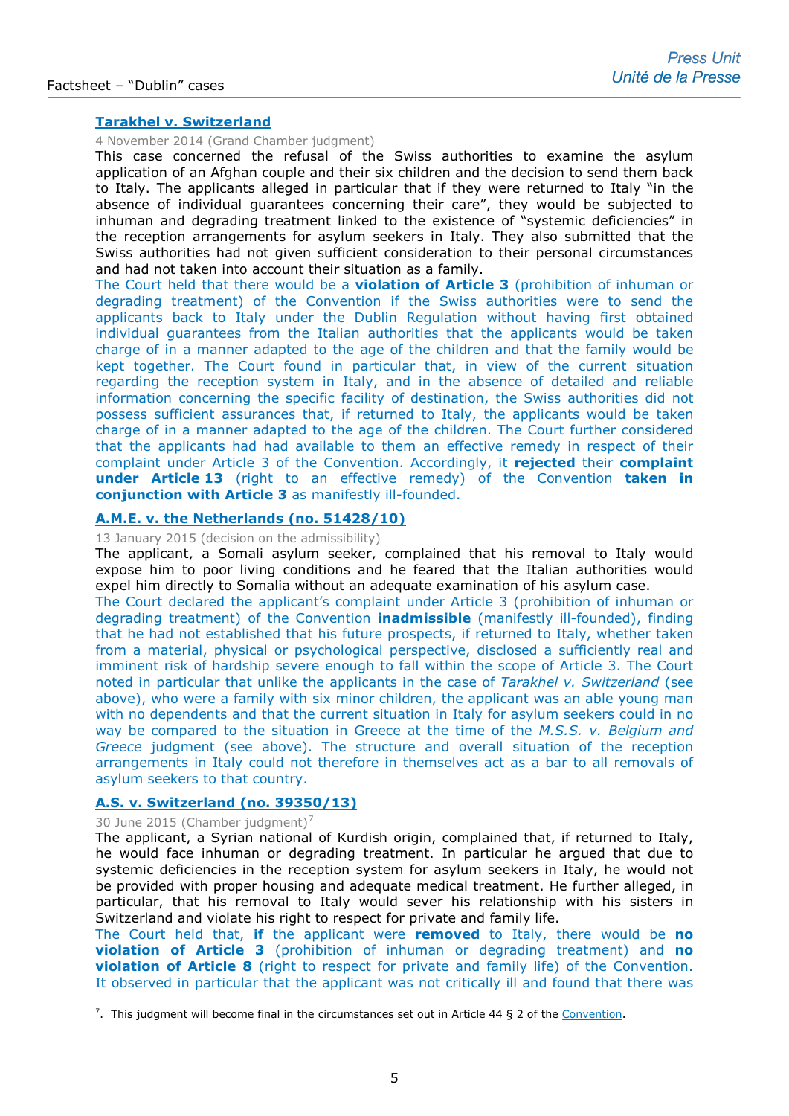## **[Tarakhel v. Switzerland](http://hudoc.echr.coe.int/sites/eng-press/pages/search.aspx?i=003-4923136-6025044)**

## 4 November 2014 (Grand Chamber judgment)

This case concerned the refusal of the Swiss authorities to examine the asylum application of an Afghan couple and their six children and the decision to send them back to Italy. The applicants alleged in particular that if they were returned to Italy "in the absence of individual guarantees concerning their care", they would be subjected to inhuman and degrading treatment linked to the existence of "systemic deficiencies" in the reception arrangements for asylum seekers in Italy. They also submitted that the Swiss authorities had not given sufficient consideration to their personal circumstances and had not taken into account their situation as a family.

The Court held that there would be a **violation of Article 3** (prohibition of inhuman or degrading treatment) of the Convention if the Swiss authorities were to send the applicants back to Italy under the Dublin Regulation without having first obtained individual guarantees from the Italian authorities that the applicants would be taken charge of in a manner adapted to the age of the children and that the family would be kept together. The Court found in particular that, in view of the current situation regarding the reception system in Italy, and in the absence of detailed and reliable information concerning the specific facility of destination, the Swiss authorities did not possess sufficient assurances that, if returned to Italy, the applicants would be taken charge of in a manner adapted to the age of the children. The Court further considered that the applicants had had available to them an effective remedy in respect of their complaint under Article 3 of the Convention. Accordingly, it **rejected** their **complaint under Article 13** (right to an effective remedy) of the Convention **taken in conjunction with Article 3** as manifestly ill-founded.

# **[A.M.E. v. the Netherlands \(no. 51428/10\)](http://hudoc.echr.coe.int/sites/eng-press/pages/search.aspx?i=003-5006911-6145069)**

## 13 January 2015 (decision on the admissibility)

The applicant, a Somali asylum seeker, complained that his removal to Italy would expose him to poor living conditions and he feared that the Italian authorities would expel him directly to Somalia without an adequate examination of his asylum case.

The Court declared the applicant's complaint under Article 3 (prohibition of inhuman or degrading treatment) of the Convention **inadmissible** (manifestly ill-founded), finding that he had not established that his future prospects, if returned to Italy, whether taken from a material, physical or psychological perspective, disclosed a sufficiently real and imminent risk of hardship severe enough to fall within the scope of Article 3. The Court noted in particular that unlike the applicants in the case of *Tarakhel v. Switzerland* (see above), who were a family with six minor children, the applicant was an able young man with no dependents and that the current situation in Italy for asylum seekers could in no way be compared to the situation in Greece at the time of the *M.S.S. v. Belgium and Greece* judgment (see above). The structure and overall situation of the reception arrangements in Italy could not therefore in themselves act as a bar to all removals of asylum seekers to that country.

# **[A.S. v. Switzerland \(no. 39350/13\)](http://hudoc.echr.coe.int/sites/eng-press/pages/search.aspx?i=003-5121543-6317560)**

#### 30 June 2015 (Chamber judgment)<sup>[7](#page-4-0)</sup>

The applicant, a Syrian national of Kurdish origin, complained that, if returned to Italy, he would face inhuman or degrading treatment. In particular he argued that due to systemic deficiencies in the reception system for asylum seekers in Italy, he would not be provided with proper housing and adequate medical treatment. He further alleged, in particular, that his removal to Italy would sever his relationship with his sisters in Switzerland and violate his right to respect for private and family life.

The Court held that, **if** the applicant were **removed** to Italy, there would be **no violation of Article 3** (prohibition of inhuman or degrading treatment) and **no violation of Article 8** (right to respect for private and family life) of the Convention. It observed in particular that the applicant was not critically ill and found that there was

<span id="page-4-0"></span><sup>&</sup>lt;sup>7</sup>. This judgment will become final in the circumstances set out in Article 44 § 2 of the [Convention.](http://www.echr.coe.int/Documents/Convention_ENG.pdf) -